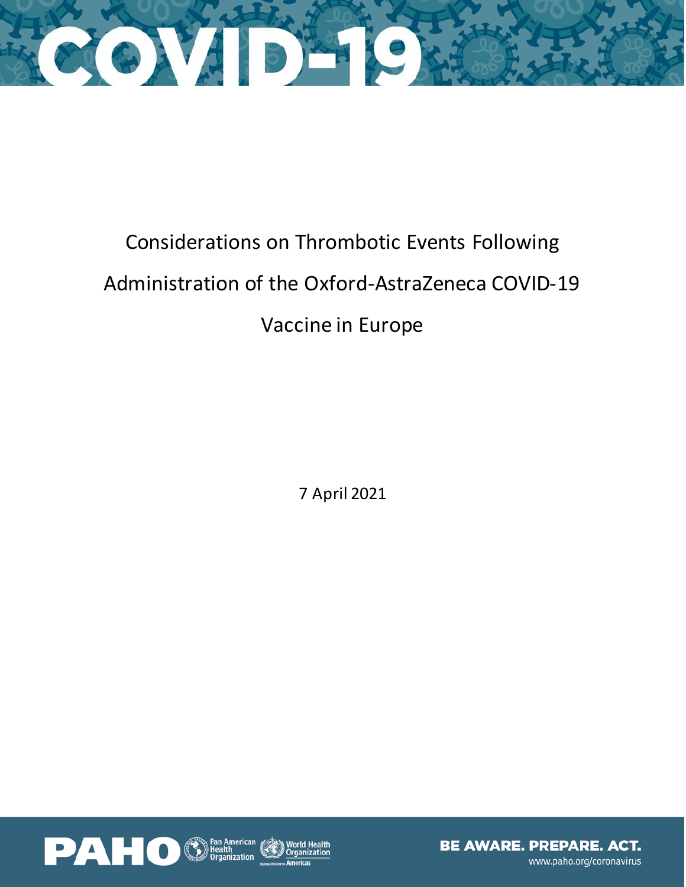

## Considerations on Thrombotic Events Following Administration of the Oxford-AstraZeneca COVID-19 Vaccine in Europe

7 April 2021

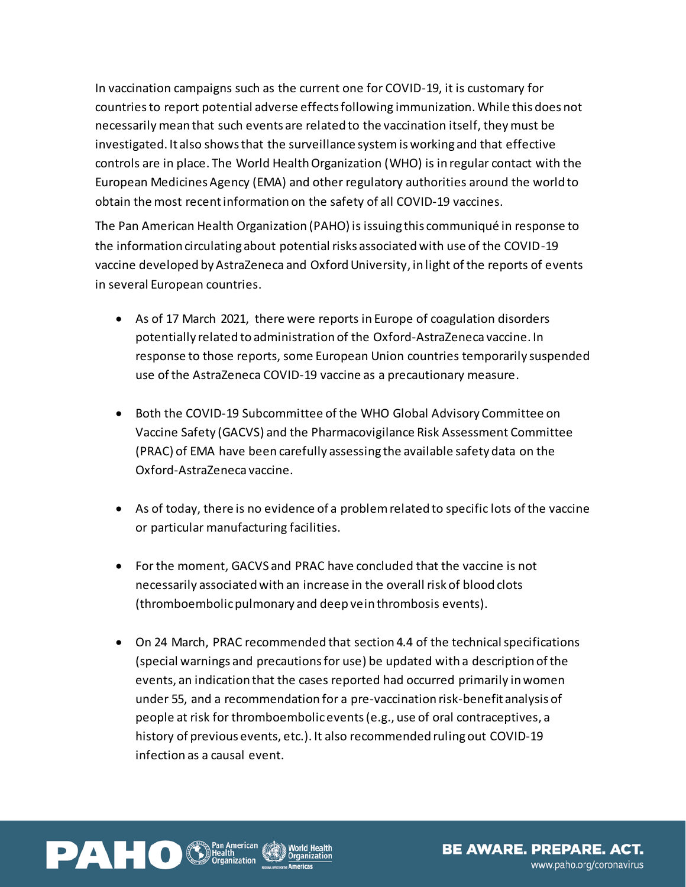In vaccination campaigns such as the current one for COVID-19, it is customary for countries to report potential adverse effects following immunization.While this does not necessarily mean that such events are related to the vaccination itself, they must be investigated. It also shows that the surveillance system is working and that effective controls are in place. The World Health Organization (WHO) is in regular contact with the European Medicines Agency (EMA) and other regulatory authorities around the world to obtain the most recent information on the safety of all COVID-19 vaccines.

The Pan American Health Organization (PAHO) is issuing this communiqué in response to the information circulating about potential risks associated with use of the COVID-19 vaccine developed by AstraZeneca and Oxford University, in light of the reports of events in several European countries.

- As of 17 March 2021, there were reports in Europe of coagulation disorders potentially related to administration of the Oxford-AstraZeneca vaccine. In response to those reports, some European Union countries temporarily suspended use of the AstraZeneca COVID-19 vaccine as a precautionary measure.
- Both the COVID-19 Subcommittee of the WHO Global Advisory Committee on Vaccine Safety (GACVS) and the Pharmacovigilance Risk Assessment Committee (PRAC) of EMA have been carefully assessing the available safety data on the Oxford-AstraZeneca vaccine.
- As of today, there is no evidence of a problem related to specific lots of the vaccine or particular manufacturing facilities.
- For the moment, GACVS and PRAC have concluded that the vaccine is not necessarily associated with an increase in the overall risk of blood clots (thromboembolic pulmonary and deep vein thrombosis events).
- On 24 March, PRAC recommended that section 4.4 of the technical specifications (special warnings and precautions for use) be updated with a description of the events, an indication that the cases reported had occurred primarily in women under 55, and a recommendation for a pre-vaccination risk-benefit analysis of people at risk for thromboembolic events (e.g., use of oral contraceptives, a history of previous events, etc.). It also recommended ruling out COVID-19 infection as a causal event.

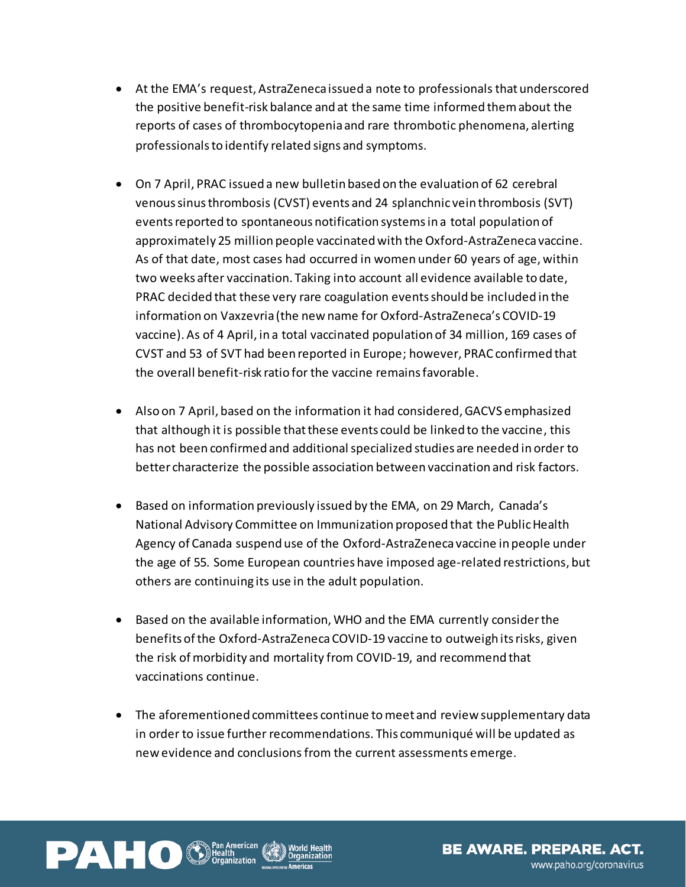- At the EMA's request, AstraZeneca issued a note to professionals that underscored the positive benefit-risk balance and at the same time informed them about the reports of cases of thrombocytopenia and rare thrombotic phenomena, alerting professionals to identify related signs and symptoms.
- On 7 April, PRAC issued a new bulletin based on the evaluation of 62 cerebral venous sinus thrombosis (CVST) events and 24 splanchnic vein thrombosis (SVT) events reported to spontaneous notification systems in a total population of approximately 25 million people vaccinated with the Oxford-AstraZeneca vaccine. As of that date, most cases had occurred in women under 60 years of age, within two weeks after vaccination. Taking into account all evidence available to date, PRAC decided that these very rare coagulation events should be included in the information on Vaxzevria (the new name for Oxford-AstraZeneca's COVID-19 vaccine). As of 4 April, in a total vaccinated population of 34 million, 169 cases of CVST and 53 of SVT had been reported in Europe; however, PRAC confirmed that the overall benefit-risk ratio for the vaccine remains favorable.
- Also on 7 April, based on the information it had considered, GACVS emphasized that although it is possible that these events could be linked to the vaccine, this has not been confirmed and additional specialized studies are needed in order to better characterize the possible association between vaccination and risk factors.
- Based on information previously issued by the EMA, on 29 March, Canada's National Advisory Committee on Immunization proposed that the Public Health Agency of Canada suspend use of the Oxford-AstraZeneca vaccine in people under the age of 55. Some European countries have imposed age-related restrictions, but others are continuing its use in the adult population.
- Based on the available information, WHO and the EMA currently considerthe benefits of the Oxford-AstraZeneca COVID-19 vaccine to outweigh its risks, given the risk of morbidity and mortality from COVID-19, and recommend that vaccinations continue.
- The aforementioned committees continue tomeet and review supplementary data in order to issue further recommendations. This communiqué will be updated as new evidence and conclusions from the current assessments emerge.

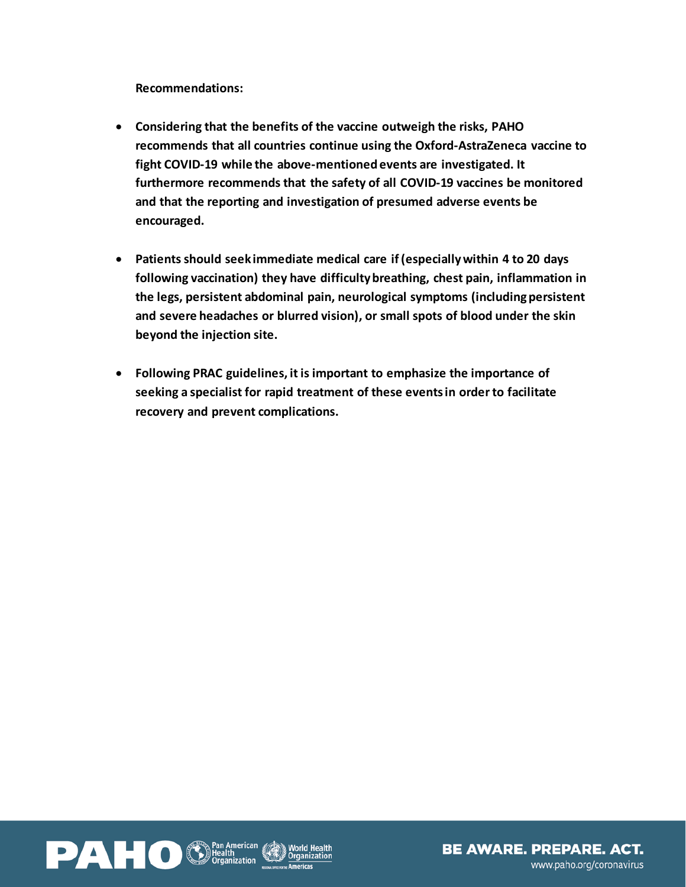**Recommendations:** 

- **Considering that the benefits of the vaccine outweigh the risks, PAHO recommends that all countries continue using the Oxford-AstraZeneca vaccine to fight COVID-19 while the above-mentioned events are investigated. It furthermore recommends that the safety of all COVID-19 vaccines be monitored and that the reporting and investigation of presumed adverse events be encouraged.**
- **Patients should seek immediate medical care if (especially within 4 to 20 days following vaccination) they have difficulty breathing, chest pain, inflammation in the legs, persistent abdominal pain, neurological symptoms (including persistent and severe headaches or blurred vision), or small spots of blood under the skin beyond the injection site.**
- **Following PRAC guidelines, it is important to emphasize the importance of seeking a specialist for rapid treatment of these events in order to facilitate recovery and prevent complications.**